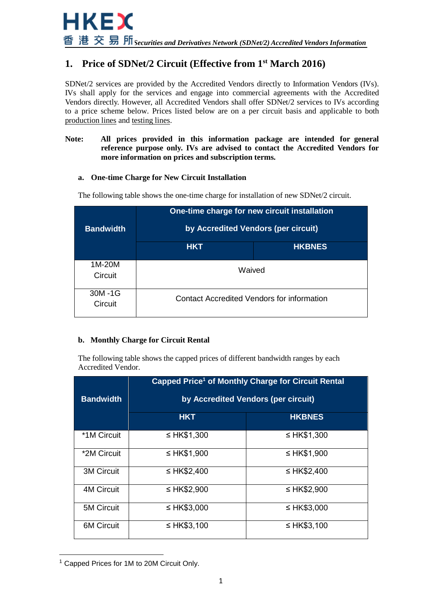# **1. Price of SDNet/2 Circuit (Effective from 1st March 2016)**

SDNet/2 services are provided by the Accredited Vendors directly to Information Vendors (IVs). IVs shall apply for the services and engage into commercial agreements with the Accredited Vendors directly. However, all Accredited Vendors shall offer SDNet/2 services to IVs according to a price scheme below. Prices listed below are on a per circuit basis and applicable to both production lines and testing lines.

#### **Note: All prices provided in this information package are intended for general reference purpose only. IVs are advised to contact the Accredited Vendors for more information on prices and subscription terms.**

#### **a. One-time Charge for New Circuit Installation**

| <b>Bandwidth</b>  |                                            | One-time charge for new circuit installation<br>by Accredited Vendors (per circuit) |  |
|-------------------|--------------------------------------------|-------------------------------------------------------------------------------------|--|
|                   | <b>HKT</b>                                 | <b>HKBNES</b>                                                                       |  |
| 1M-20M<br>Circuit | Waived                                     |                                                                                     |  |
| 30M-1G<br>Circuit | Contact Accredited Vendors for information |                                                                                     |  |

The following table shows the one-time charge for installation of new SDNet/2 circuit.

### **b. Monthly Charge for Circuit Rental**

The following table shows the capped prices of different bandwidth ranges by each Accredited Vendor.

|                   | Capped Price <sup>1</sup> of Monthly Charge for Circuit Rental |                                     |  |
|-------------------|----------------------------------------------------------------|-------------------------------------|--|
| <b>Bandwidth</b>  |                                                                | by Accredited Vendors (per circuit) |  |
|                   | <b>HKT</b>                                                     | <b>HKBNES</b>                       |  |
| *1M Circuit       | ≤ HK\$1,300                                                    | ≤ HK\$1,300                         |  |
| *2M Circuit       | ≤ HK\$1,900                                                    | ≤ HK\$1,900                         |  |
| <b>3M Circuit</b> | ≤ HK\$2,400                                                    | $\leq$ HK\$2,400                    |  |
| <b>4M Circuit</b> | $\leq$ HK\$2,900                                               | $\leq$ HK\$2,900                    |  |
| <b>5M Circuit</b> | ≤ HK\$3,000                                                    | ≤ HK\$3,000                         |  |
| <b>6M Circuit</b> | ≤ HK\$3,100                                                    | ≤ HK\$3,100                         |  |

<sup>&</sup>lt;sup>1</sup> Capped Prices for 1M to 20M Circuit Only.

 $\overline{\phantom{a}}$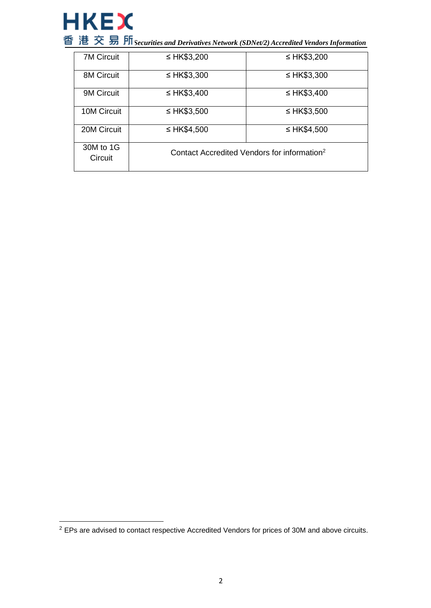

 $\overline{\phantom{a}}$ 

*Securities and Derivatives Network (SDNet/2) Accredited Vendors Information*

| <b>7M Circuit</b>    | ≤ HK\$3,200      | ≤ HK\$3,200                                             |  |
|----------------------|------------------|---------------------------------------------------------|--|
| <b>8M Circuit</b>    | $\leq$ HK\$3,300 | ≤ HK\$3,300                                             |  |
| 9M Circuit           | ≤ HK\$3,400      | $\leq$ HK\$3,400                                        |  |
| 10M Circuit          | ≤ HK\$3,500      | ≤ HK\$3,500                                             |  |
| 20M Circuit          | ≤ HK\$4,500      | ≤ HK\$4,500                                             |  |
| 30M to 1G<br>Circuit |                  | Contact Accredited Vendors for information <sup>2</sup> |  |

 $2$  EPs are advised to contact respective Accredited Vendors for prices of 30M and above circuits.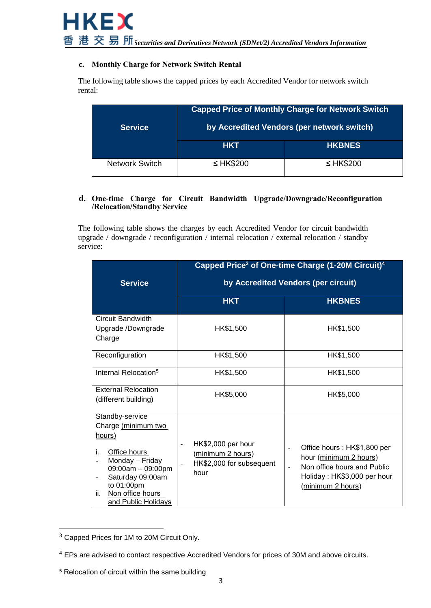#### **c. Monthly Charge for Network Switch Rental**

The following table shows the capped prices by each Accredited Vendor for network switch rental:

| <b>Service</b>        | <b>Capped Price of Monthly Charge for Network Switch</b><br>by Accredited Vendors (per network switch) |                |
|-----------------------|--------------------------------------------------------------------------------------------------------|----------------|
|                       | HKT                                                                                                    | <b>HKBNES</b>  |
| <b>Network Switch</b> | ≤ HK\$200                                                                                              | $\leq$ HK\$200 |

#### **d. One-time Charge for Circuit Bandwidth Upgrade/Downgrade/Reconfiguration /Relocation/Standby Service**

The following table shows the charges by each Accredited Vendor for circuit bandwidth upgrade / downgrade / reconfiguration / internal relocation / external relocation / standby service:

| <b>Service</b>                                                                                                                                                                                                       | Capped Price <sup>3</sup> of One-time Charge (1-20M Circuit) <sup>4</sup><br>by Accredited Vendors (per circuit) |                                                                                                                                                                      |  |
|----------------------------------------------------------------------------------------------------------------------------------------------------------------------------------------------------------------------|------------------------------------------------------------------------------------------------------------------|----------------------------------------------------------------------------------------------------------------------------------------------------------------------|--|
|                                                                                                                                                                                                                      | <b>HKT</b>                                                                                                       | <b>HKBNES</b>                                                                                                                                                        |  |
| Circuit Bandwidth<br>Upgrade /Downgrade<br>Charge                                                                                                                                                                    | HK\$1,500                                                                                                        | HK\$1,500                                                                                                                                                            |  |
| Reconfiguration                                                                                                                                                                                                      | HK\$1,500                                                                                                        | HK\$1,500                                                                                                                                                            |  |
| Internal Relocation <sup>5</sup>                                                                                                                                                                                     | HK\$1,500                                                                                                        | HK\$1,500                                                                                                                                                            |  |
| <b>External Relocation</b><br>(different building)                                                                                                                                                                   | HK\$5,000                                                                                                        | HK\$5,000                                                                                                                                                            |  |
| Standby-service<br>Charge (minimum two<br>hours)<br>Office hours<br>i.<br>Monday - Friday<br>09:00am - 09:00pm<br>Saturday 09:00am<br>$\overline{a}$<br>to 01:00pm<br>Non office hours<br>ii.<br>and Public Holidays | HK\$2,000 per hour<br>$\blacksquare$<br>(minimum 2 hours)<br>HK\$2,000 for subsequent<br>hour                    | Office hours: HK\$1,800 per<br>$\blacksquare$<br>hour (minimum 2 hours)<br>Non office hours and Public<br>$\sim$<br>Holiday: HK\$3,000 per hour<br>(minimum 2 hours) |  |

 $\overline{a}$  $3$  Capped Prices for 1M to 20M Circuit Only.

<sup>4</sup> EPs are advised to contact respective Accredited Vendors for prices of 30M and above circuits.

<sup>5</sup> Relocation of circuit within the same building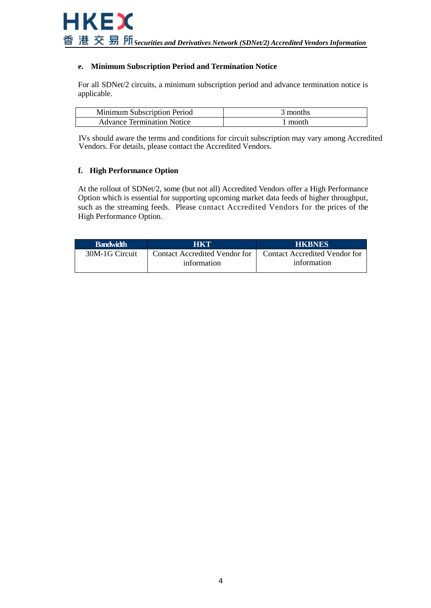#### **e. Minimum Subscription Period and Termination Notice**

For all SDNet/2 circuits, a minimum subscription period and advance termination notice is applicable.

| Minimum Subscription Period       | ' months |
|-----------------------------------|----------|
| <b>Advance Termination Notice</b> | month    |

IVs should aware the terms and conditions for circuit subscription may vary among Accredited Vendors. For details, please contact the Accredited Vendors.

#### **f. High Performance Option**

At the rollout of SDNet/2, some (but not all) Accredited Vendors offer a High Performance Option which is essential for supporting upcoming market data feeds of higher throughput, such as the streaming feeds. Please contact Accredited Vendors for the prices of the High Performance Option.

| <b>Bandwidth</b> | <b>AHKIY</b>                                 | <b>HKBNES</b>                                |
|------------------|----------------------------------------------|----------------------------------------------|
| 30M-1G Circuit   | Contact Accredited Vendor for<br>information | Contact Accredited Vendor for<br>information |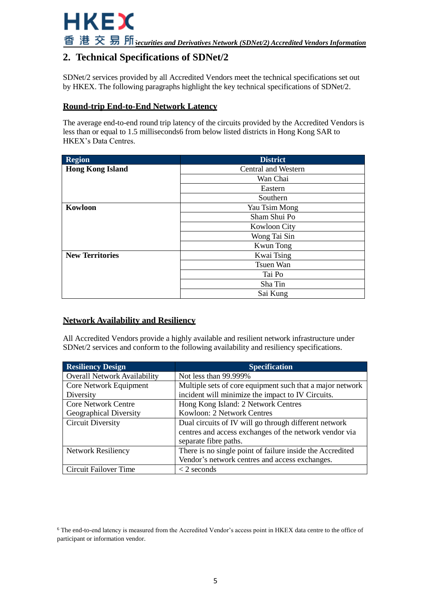

# **2. Technical Specifications of SDNet/2**

SDNet/2 services provided by all Accredited Vendors meet the technical specifications set out by HKEX. The following paragraphs highlight the key technical specifications of SDNet/2.

### **Round-trip End-to-End Network Latency**

The average end-to-end round trip latency of the circuits provided by the Accredited Vendors is less than or equal to 1.5 milliseconds6 from below listed districts in Hong Kong SAR to HKEX's Data Centres.

| <b>Region</b>           | <b>District</b>            |
|-------------------------|----------------------------|
| <b>Hong Kong Island</b> | <b>Central and Western</b> |
|                         | Wan Chai                   |
|                         | Eastern                    |
|                         | Southern                   |
| Kowloon                 | Yau Tsim Mong              |
|                         | Sham Shui Po               |
|                         | <b>Kowloon City</b>        |
|                         | Wong Tai Sin               |
|                         | <b>Kwun</b> Tong           |
| <b>New Territories</b>  | Kwai Tsing                 |
|                         | Tsuen Wan                  |
|                         | Tai Po                     |
|                         | Sha Tin                    |
|                         | Sai Kung                   |

### **Network Availability and Resiliency**

All Accredited Vendors provide a highly available and resilient network infrastructure under SDNet/2 services and conform to the following availability and resiliency specifications.

| <b>Resiliency Design</b>            | <b>Specification</b>                                      |
|-------------------------------------|-----------------------------------------------------------|
| <b>Overall Network Availability</b> | Not less than 99.999%                                     |
| Core Network Equipment              | Multiple sets of core equipment such that a major network |
| Diversity                           | incident will minimize the impact to IV Circuits.         |
| <b>Core Network Centre</b>          | Hong Kong Island: 2 Network Centres                       |
| Geographical Diversity              | Kowloon: 2 Network Centres                                |
| <b>Circuit Diversity</b>            | Dual circuits of IV will go through different network     |
|                                     | centres and access exchanges of the network vendor via    |
|                                     | separate fibre paths.                                     |
| <b>Network Resiliency</b>           | There is no single point of failure inside the Accredited |
|                                     | Vendor's network centres and access exchanges.            |
| Circuit Failover Time               | $\langle$ 2 seconds                                       |

<sup>6</sup> The end-to-end latency is measured from the Accredited Vendor's access point in HKEX data centre to the office of participant or information vendor.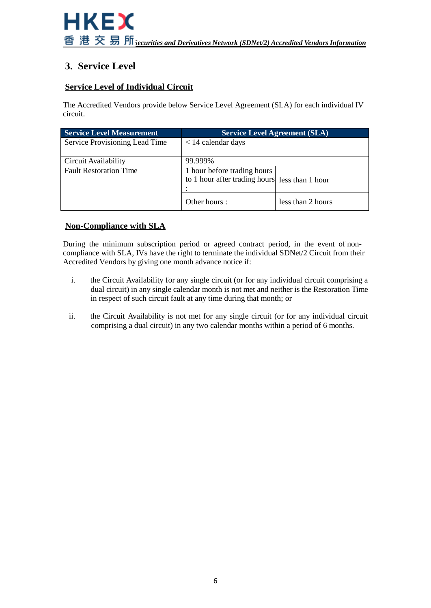# **3. Service Level**

# **Service Level of Individual Circuit**

The Accredited Vendors provide below Service Level Agreement (SLA) for each individual IV circuit.

| <b>Service Level Measurement</b> | <b>Service Level Agreement (SLA)</b>                                          |                   |
|----------------------------------|-------------------------------------------------------------------------------|-------------------|
| Service Provisioning Lead Time   | $<$ 14 calendar days                                                          |                   |
| Circuit Availability             | 99.999%                                                                       |                   |
| <b>Fault Restoration Time</b>    | 1 hour before trading hours<br>to 1 hour after trading hours less than 1 hour |                   |
|                                  | Other hours:                                                                  | less than 2 hours |

# **Non-Compliance with SLA**

During the minimum subscription period or agreed contract period, in the event of noncompliance with SLA, IVs have the right to terminate the individual SDNet/2 Circuit from their Accredited Vendors by giving one month advance notice if:

- i. the Circuit Availability for any single circuit (or for any individual circuit comprising a dual circuit) in any single calendar month is not met and neither is the Restoration Time in respect of such circuit fault at any time during that month; or
- ii. the Circuit Availability is not met for any single circuit (or for any individual circuit comprising a dual circuit) in any two calendar months within a period of 6 months.